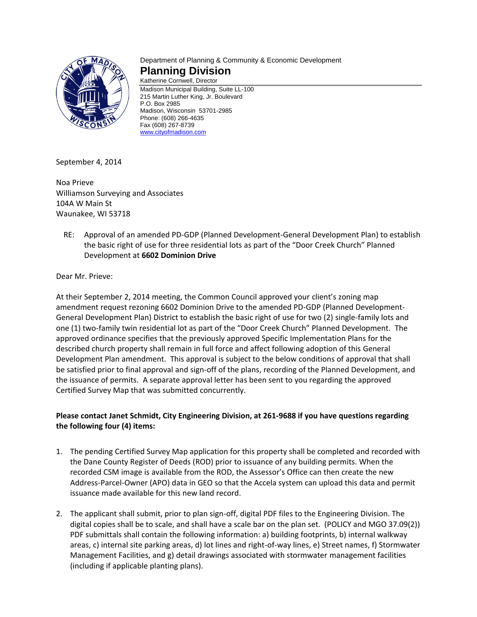

# Department of Planning & Community & Economic Development **Planning Division**

Katherine Cornwell, Director Madison Municipal Building, Suite LL-100 215 Martin Luther King, Jr. Boulevard P.O. Box 2985 Madison, Wisconsin 53701-2985 Phone: (608) 266-4635 Fax (608) 267-8739 [www.cityofmadison.com](http://www.cityofmadison.com/)

September 4, 2014

Noa Prieve Williamson Surveying and Associates 104A W Main St Waunakee, WI 53718

RE: Approval of an amended PD-GDP (Planned Development-General Development Plan) to establish the basic right of use for three residential lots as part of the "Door Creek Church" Planned Development at **6602 Dominion Drive**

Dear Mr. Prieve:

At their September 2, 2014 meeting, the Common Council approved your client's zoning map amendment request rezoning 6602 Dominion Drive to the amended PD-GDP (Planned Development-General Development Plan) District to establish the basic right of use for two (2) single-family lots and one (1) two-family twin residential lot as part of the "Door Creek Church" Planned Development. The approved ordinance specifies that the previously approved Specific Implementation Plans for the described church property shall remain in full force and affect following adoption of this General Development Plan amendment. This approval is subject to the below conditions of approval that shall be satisfied prior to final approval and sign-off of the plans, recording of the Planned Development, and the issuance of permits. A separate approval letter has been sent to you regarding the approved Certified Survey Map that was submitted concurrently.

## **Please contact Janet Schmidt, City Engineering Division, at 261-9688 if you have questions regarding the following four (4) items:**

- 1. The pending Certified Survey Map application for this property shall be completed and recorded with the Dane County Register of Deeds (ROD) prior to issuance of any building permits. When the recorded CSM image is available from the ROD, the Assessor's Office can then create the new Address-Parcel-Owner (APO) data in GEO so that the Accela system can upload this data and permit issuance made available for this new land record.
- 2. The applicant shall submit, prior to plan sign-off, digital PDF files to the Engineering Division. The digital copies shall be to scale, and shall have a scale bar on the plan set. (POLICY and MGO 37.09(2)) PDF submittals shall contain the following information: a) building footprints, b) internal walkway areas, c) internal site parking areas, d) lot lines and right-of-way lines, e) Street names, f) Stormwater Management Facilities, and g) detail drawings associated with stormwater management facilities (including if applicable planting plans).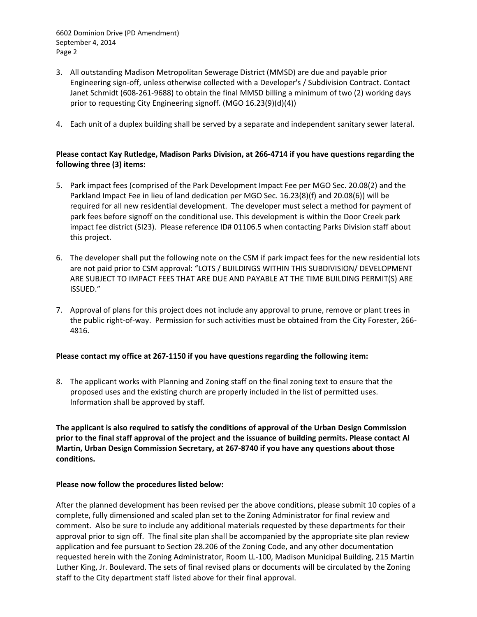6602 Dominion Drive (PD Amendment) September 4, 2014 Page 2

- 3. All outstanding Madison Metropolitan Sewerage District (MMSD) are due and payable prior Engineering sign-off, unless otherwise collected with a Developer's / Subdivision Contract. Contact Janet Schmidt (608-261-9688) to obtain the final MMSD billing a minimum of two (2) working days prior to requesting City Engineering signoff. (MGO 16.23(9)(d)(4))
- 4. Each unit of a duplex building shall be served by a separate and independent sanitary sewer lateral.

## **Please contact Kay Rutledge, Madison Parks Division, at 266-4714 if you have questions regarding the following three (3) items:**

- 5. Park impact fees (comprised of the Park Development Impact Fee per MGO Sec. 20.08(2) and the Parkland Impact Fee in lieu of land dedication per MGO Sec. 16.23(8)(f) and 20.08(6)) will be required for all new residential development. The developer must select a method for payment of park fees before signoff on the conditional use. This development is within the Door Creek park impact fee district (SI23). Please reference ID# 01106.5 when contacting Parks Division staff about this project.
- 6. The developer shall put the following note on the CSM if park impact fees for the new residential lots are not paid prior to CSM approval: "LOTS / BUILDINGS WITHIN THIS SUBDIVISION/ DEVELOPMENT ARE SUBJECT TO IMPACT FEES THAT ARE DUE AND PAYABLE AT THE TIME BUILDING PERMIT(S) ARE ISSUED."
- 7. Approval of plans for this project does not include any approval to prune, remove or plant trees in the public right-of-way. Permission for such activities must be obtained from the City Forester, 266- 4816.

### **Please contact my office at 267-1150 if you have questions regarding the following item:**

8. The applicant works with Planning and Zoning staff on the final zoning text to ensure that the proposed uses and the existing church are properly included in the list of permitted uses. Information shall be approved by staff.

**The applicant is also required to satisfy the conditions of approval of the Urban Design Commission prior to the final staff approval of the project and the issuance of building permits. Please contact Al Martin, Urban Design Commission Secretary, at 267-8740 if you have any questions about those conditions.**

### **Please now follow the procedures listed below:**

After the planned development has been revised per the above conditions, please submit 10 copies of a complete, fully dimensioned and scaled plan set to the Zoning Administrator for final review and comment. Also be sure to include any additional materials requested by these departments for their approval prior to sign off. The final site plan shall be accompanied by the appropriate site plan review application and fee pursuant to Section 28.206 of the Zoning Code, and any other documentation requested herein with the Zoning Administrator, Room LL-100, Madison Municipal Building, 215 Martin Luther King, Jr. Boulevard. The sets of final revised plans or documents will be circulated by the Zoning staff to the City department staff listed above for their final approval.